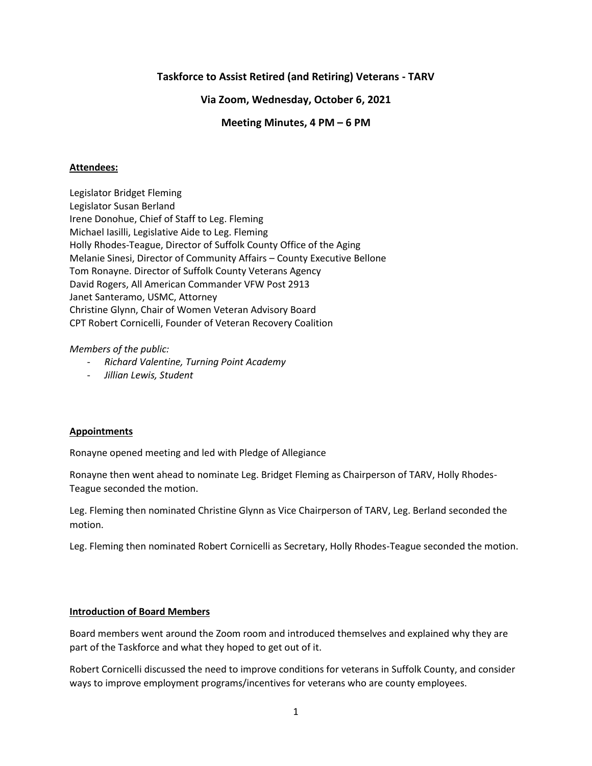# **Taskforce to Assist Retired (and Retiring) Veterans - TARV**

# **Via Zoom, Wednesday, October 6, 2021**

# **Meeting Minutes, 4 PM – 6 PM**

## **Attendees:**

Legislator Bridget Fleming Legislator Susan Berland Irene Donohue, Chief of Staff to Leg. Fleming Michael Iasilli, Legislative Aide to Leg. Fleming Holly Rhodes-Teague, Director of Suffolk County Office of the Aging Melanie Sinesi, Director of Community Affairs – County Executive Bellone Tom Ronayne. Director of Suffolk County Veterans Agency David Rogers, All American Commander VFW Post 2913 Janet Santeramo, USMC, Attorney Christine Glynn, Chair of Women Veteran Advisory Board CPT Robert Cornicelli, Founder of Veteran Recovery Coalition

## *Members of the public:*

- *Richard Valentine, Turning Point Academy*
- *Jillian Lewis, Student*

#### **Appointments**

Ronayne opened meeting and led with Pledge of Allegiance

Ronayne then went ahead to nominate Leg. Bridget Fleming as Chairperson of TARV, Holly Rhodes-Teague seconded the motion.

Leg. Fleming then nominated Christine Glynn as Vice Chairperson of TARV, Leg. Berland seconded the motion.

Leg. Fleming then nominated Robert Cornicelli as Secretary, Holly Rhodes-Teague seconded the motion.

### **Introduction of Board Members**

Board members went around the Zoom room and introduced themselves and explained why they are part of the Taskforce and what they hoped to get out of it.

Robert Cornicelli discussed the need to improve conditions for veterans in Suffolk County, and consider ways to improve employment programs/incentives for veterans who are county employees.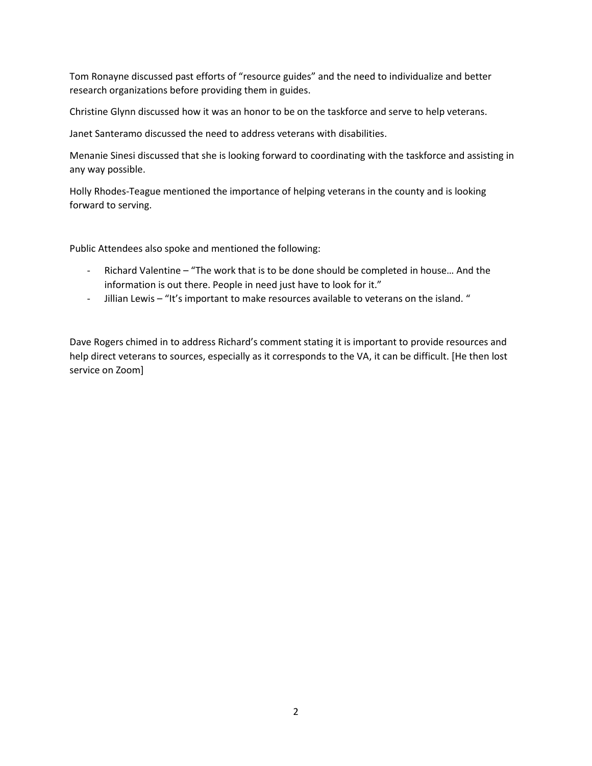Tom Ronayne discussed past efforts of "resource guides" and the need to individualize and better research organizations before providing them in guides.

Christine Glynn discussed how it was an honor to be on the taskforce and serve to help veterans.

Janet Santeramo discussed the need to address veterans with disabilities.

Menanie Sinesi discussed that she is looking forward to coordinating with the taskforce and assisting in any way possible.

Holly Rhodes-Teague mentioned the importance of helping veterans in the county and is looking forward to serving.

Public Attendees also spoke and mentioned the following:

- Richard Valentine "The work that is to be done should be completed in house… And the information is out there. People in need just have to look for it."
- Jillian Lewis "It's important to make resources available to veterans on the island. "

Dave Rogers chimed in to address Richard's comment stating it is important to provide resources and help direct veterans to sources, especially as it corresponds to the VA, it can be difficult. [He then lost service on Zoom]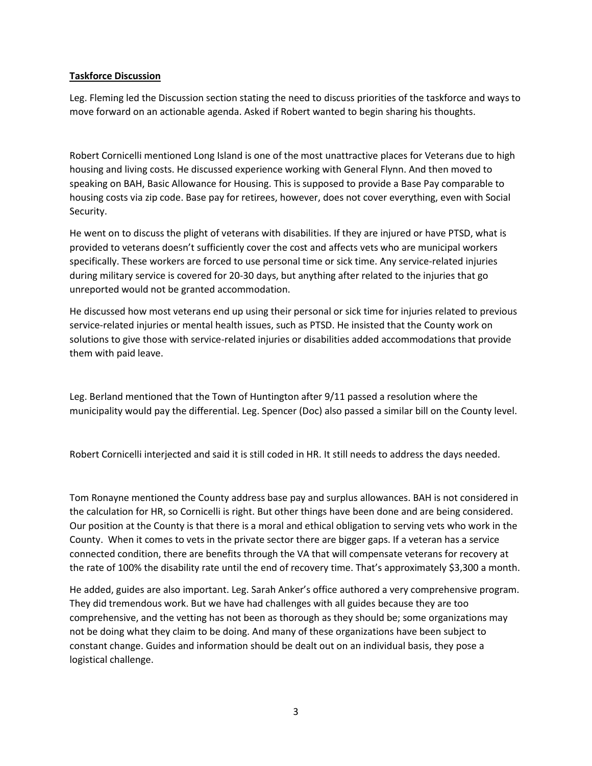# **Taskforce Discussion**

Leg. Fleming led the Discussion section stating the need to discuss priorities of the taskforce and ways to move forward on an actionable agenda. Asked if Robert wanted to begin sharing his thoughts.

Robert Cornicelli mentioned Long Island is one of the most unattractive places for Veterans due to high housing and living costs. He discussed experience working with General Flynn. And then moved to speaking on BAH, Basic Allowance for Housing. This is supposed to provide a Base Pay comparable to housing costs via zip code. Base pay for retirees, however, does not cover everything, even with Social Security.

He went on to discuss the plight of veterans with disabilities. If they are injured or have PTSD, what is provided to veterans doesn't sufficiently cover the cost and affects vets who are municipal workers specifically. These workers are forced to use personal time or sick time. Any service-related injuries during military service is covered for 20-30 days, but anything after related to the injuries that go unreported would not be granted accommodation.

He discussed how most veterans end up using their personal or sick time for injuries related to previous service-related injuries or mental health issues, such as PTSD. He insisted that the County work on solutions to give those with service-related injuries or disabilities added accommodations that provide them with paid leave.

Leg. Berland mentioned that the Town of Huntington after 9/11 passed a resolution where the municipality would pay the differential. Leg. Spencer (Doc) also passed a similar bill on the County level.

Robert Cornicelli interjected and said it is still coded in HR. It still needs to address the days needed.

Tom Ronayne mentioned the County address base pay and surplus allowances. BAH is not considered in the calculation for HR, so Cornicelli is right. But other things have been done and are being considered. Our position at the County is that there is a moral and ethical obligation to serving vets who work in the County. When it comes to vets in the private sector there are bigger gaps. If a veteran has a service connected condition, there are benefits through the VA that will compensate veterans for recovery at the rate of 100% the disability rate until the end of recovery time. That's approximately \$3,300 a month.

He added, guides are also important. Leg. Sarah Anker's office authored a very comprehensive program. They did tremendous work. But we have had challenges with all guides because they are too comprehensive, and the vetting has not been as thorough as they should be; some organizations may not be doing what they claim to be doing. And many of these organizations have been subject to constant change. Guides and information should be dealt out on an individual basis, they pose a logistical challenge.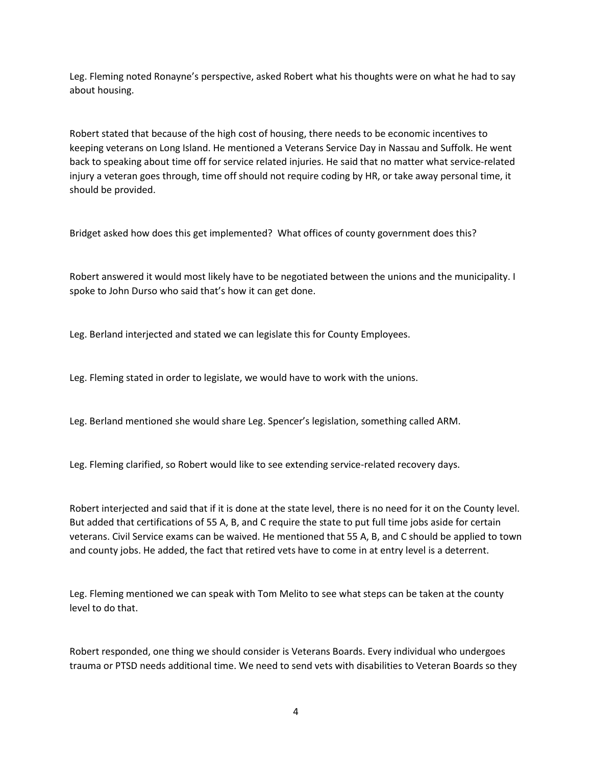Leg. Fleming noted Ronayne's perspective, asked Robert what his thoughts were on what he had to say about housing.

Robert stated that because of the high cost of housing, there needs to be economic incentives to keeping veterans on Long Island. He mentioned a Veterans Service Day in Nassau and Suffolk. He went back to speaking about time off for service related injuries. He said that no matter what service-related injury a veteran goes through, time off should not require coding by HR, or take away personal time, it should be provided.

Bridget asked how does this get implemented? What offices of county government does this?

Robert answered it would most likely have to be negotiated between the unions and the municipality. I spoke to John Durso who said that's how it can get done.

Leg. Berland interjected and stated we can legislate this for County Employees.

Leg. Fleming stated in order to legislate, we would have to work with the unions.

Leg. Berland mentioned she would share Leg. Spencer's legislation, something called ARM.

Leg. Fleming clarified, so Robert would like to see extending service-related recovery days.

Robert interjected and said that if it is done at the state level, there is no need for it on the County level. But added that certifications of 55 A, B, and C require the state to put full time jobs aside for certain veterans. Civil Service exams can be waived. He mentioned that 55 A, B, and C should be applied to town and county jobs. He added, the fact that retired vets have to come in at entry level is a deterrent.

Leg. Fleming mentioned we can speak with Tom Melito to see what steps can be taken at the county level to do that.

Robert responded, one thing we should consider is Veterans Boards. Every individual who undergoes trauma or PTSD needs additional time. We need to send vets with disabilities to Veteran Boards so they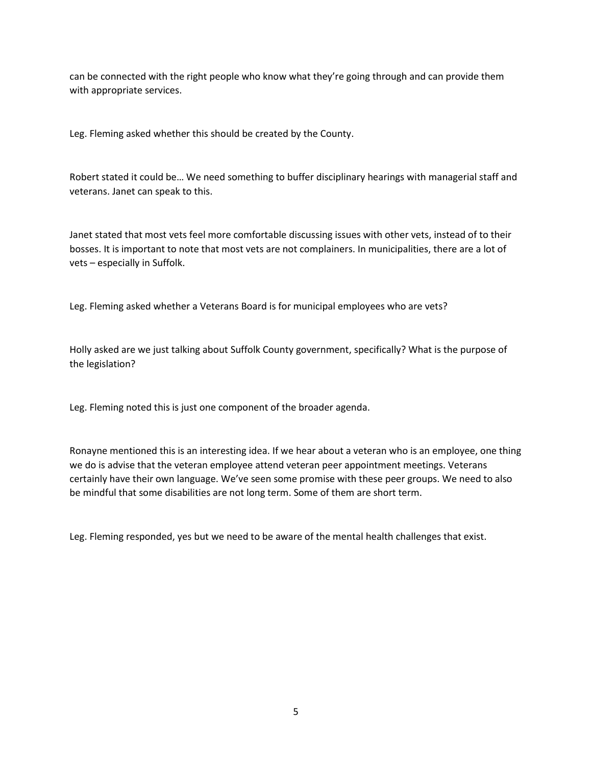can be connected with the right people who know what they're going through and can provide them with appropriate services.

Leg. Fleming asked whether this should be created by the County.

Robert stated it could be… We need something to buffer disciplinary hearings with managerial staff and veterans. Janet can speak to this.

Janet stated that most vets feel more comfortable discussing issues with other vets, instead of to their bosses. It is important to note that most vets are not complainers. In municipalities, there are a lot of vets – especially in Suffolk.

Leg. Fleming asked whether a Veterans Board is for municipal employees who are vets?

Holly asked are we just talking about Suffolk County government, specifically? What is the purpose of the legislation?

Leg. Fleming noted this is just one component of the broader agenda.

Ronayne mentioned this is an interesting idea. If we hear about a veteran who is an employee, one thing we do is advise that the veteran employee attend veteran peer appointment meetings. Veterans certainly have their own language. We've seen some promise with these peer groups. We need to also be mindful that some disabilities are not long term. Some of them are short term.

Leg. Fleming responded, yes but we need to be aware of the mental health challenges that exist.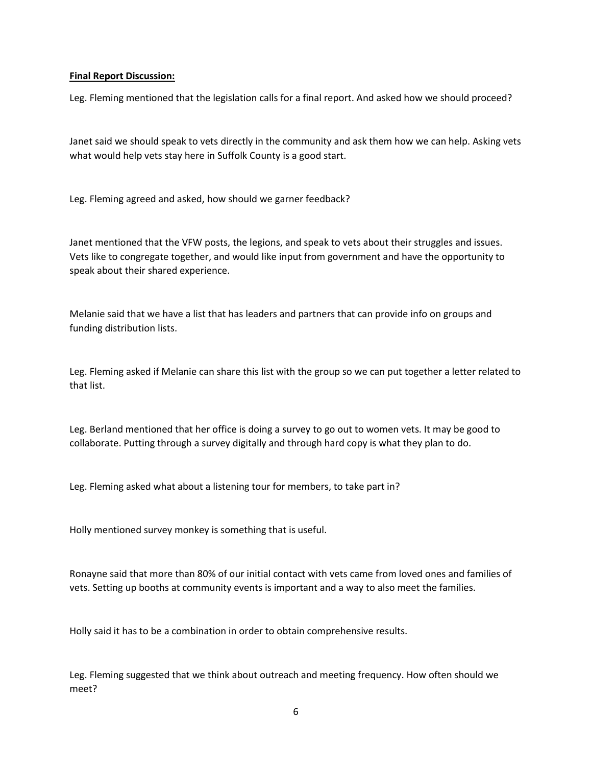## **Final Report Discussion:**

Leg. Fleming mentioned that the legislation calls for a final report. And asked how we should proceed?

Janet said we should speak to vets directly in the community and ask them how we can help. Asking vets what would help vets stay here in Suffolk County is a good start.

Leg. Fleming agreed and asked, how should we garner feedback?

Janet mentioned that the VFW posts, the legions, and speak to vets about their struggles and issues. Vets like to congregate together, and would like input from government and have the opportunity to speak about their shared experience.

Melanie said that we have a list that has leaders and partners that can provide info on groups and funding distribution lists.

Leg. Fleming asked if Melanie can share this list with the group so we can put together a letter related to that list.

Leg. Berland mentioned that her office is doing a survey to go out to women vets. It may be good to collaborate. Putting through a survey digitally and through hard copy is what they plan to do.

Leg. Fleming asked what about a listening tour for members, to take part in?

Holly mentioned survey monkey is something that is useful.

Ronayne said that more than 80% of our initial contact with vets came from loved ones and families of vets. Setting up booths at community events is important and a way to also meet the families.

Holly said it has to be a combination in order to obtain comprehensive results.

Leg. Fleming suggested that we think about outreach and meeting frequency. How often should we meet?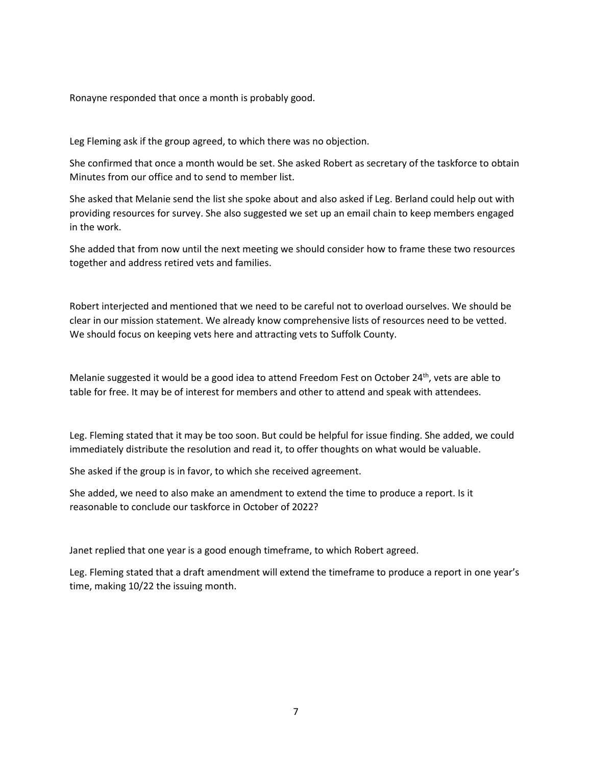Ronayne responded that once a month is probably good.

Leg Fleming ask if the group agreed, to which there was no objection.

She confirmed that once a month would be set. She asked Robert as secretary of the taskforce to obtain Minutes from our office and to send to member list.

She asked that Melanie send the list she spoke about and also asked if Leg. Berland could help out with providing resources for survey. She also suggested we set up an email chain to keep members engaged in the work.

She added that from now until the next meeting we should consider how to frame these two resources together and address retired vets and families.

Robert interjected and mentioned that we need to be careful not to overload ourselves. We should be clear in our mission statement. We already know comprehensive lists of resources need to be vetted. We should focus on keeping vets here and attracting vets to Suffolk County.

Melanie suggested it would be a good idea to attend Freedom Fest on October 24<sup>th</sup>, vets are able to table for free. It may be of interest for members and other to attend and speak with attendees.

Leg. Fleming stated that it may be too soon. But could be helpful for issue finding. She added, we could immediately distribute the resolution and read it, to offer thoughts on what would be valuable.

She asked if the group is in favor, to which she received agreement.

She added, we need to also make an amendment to extend the time to produce a report. Is it reasonable to conclude our taskforce in October of 2022?

Janet replied that one year is a good enough timeframe, to which Robert agreed.

Leg. Fleming stated that a draft amendment will extend the timeframe to produce a report in one year's time, making 10/22 the issuing month.